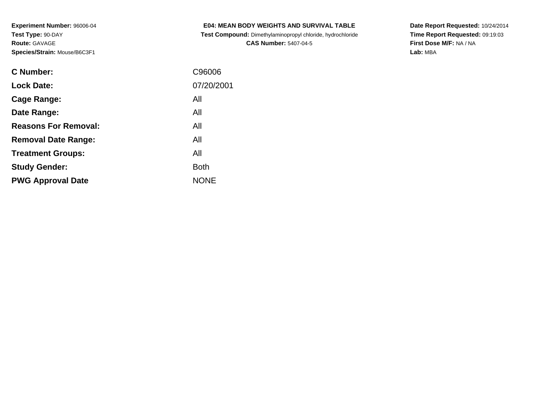**Test Compound:** Dimethylaminopropyl chloride, hydrochloride**CAS Number:** 5407-04-5

**Date Report Requested:** 10/24/2014 **Time Report Requested:** 09:19:03**First Dose M/F:** NA / NA**Lab:** MBA

| <b>C</b> Number:            | C96006      |
|-----------------------------|-------------|
| <b>Lock Date:</b>           | 07/20/2001  |
| Cage Range:                 | All         |
| Date Range:                 | All         |
| <b>Reasons For Removal:</b> | All         |
| <b>Removal Date Range:</b>  | All         |
| <b>Treatment Groups:</b>    | All         |
| <b>Study Gender:</b>        | <b>Both</b> |
| <b>PWG Approval Date</b>    | <b>NONE</b> |
|                             |             |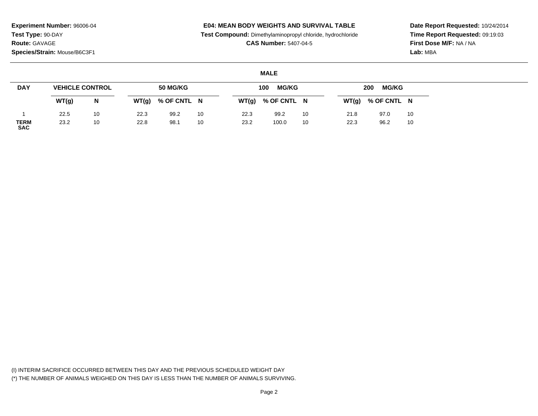### **E04: MEAN BODY WEIGHTS AND SURVIVAL TABLE**

**Test Compound:** Dimethylaminopropyl chloride, hydrochloride

**CAS Number:** 5407-04-5

**Date Report Requested:** 10/24/2014**Time Report Requested:** 09:19:03**First Dose M/F:** NA / NA**Lab:** MBA

### **MALE**

| <b>DAY</b>                | <b>VEHICLE CONTROL</b> |    |       | <b>50 MG/KG</b> |    |       | <b>MG/KG</b><br>100 |    |       | <b>MG/KG</b><br>200 |    |
|---------------------------|------------------------|----|-------|-----------------|----|-------|---------------------|----|-------|---------------------|----|
|                           | WT(g)                  | N  | WT(g) | % OF CNTL N     |    | WT(g) | % OF CNTL N         |    | WT(g) | % OF CNTL N         |    |
|                           | 22.5                   | 10 | 22.3  | 99.2            | 10 | 22.3  | 99.2                | 10 | 21.8  | 97.0                | 10 |
| <b>TERM</b><br><b>SAC</b> | 23.2                   | 10 | 22.8  | 98.1            | 10 | 23.2  | 100.0               | 10 | 22.3  | 96.2                | 10 |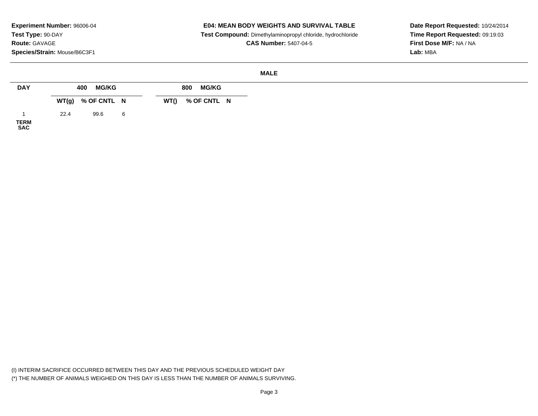#### **E04: MEAN BODY WEIGHTS AND SURVIVAL TABLE**

 **Test Compound:** Dimethylaminopropyl chloride, hydrochloride**CAS Number:** 5407-04-5

**Date Report Requested:** 10/24/2014**Time Report Requested:** 09:19:03**First Dose M/F:** NA / NA**Lab:** MBA

#### **MALE**

| <b>DAY</b>          |      | <b>MG/KG</b><br>400 |   |      | <b>MG/KG</b><br>800 |  |
|---------------------|------|---------------------|---|------|---------------------|--|
|                     |      | $WT(g)$ % OF CNTL N |   | WT() | % OF CNTL N         |  |
| <b>TERM<br/>SAC</b> | 22.4 | 99.6                | 6 |      |                     |  |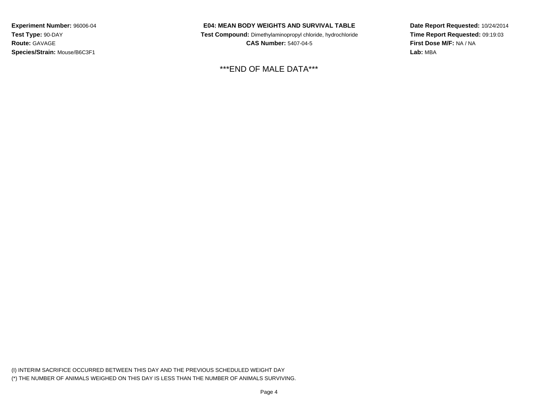# **E04: MEAN BODY WEIGHTS AND SURVIVAL TABLE**

 **Test Compound:** Dimethylaminopropyl chloride, hydrochloride**CAS Number:** 5407-04-5

\*\*\*END OF MALE DATA\*\*\*

**Date Report Requested:** 10/24/2014**Time Report Requested:** 09:19:03**First Dose M/F:** NA / NA**Lab:** MBA

(I) INTERIM SACRIFICE OCCURRED BETWEEN THIS DAY AND THE PREVIOUS SCHEDULED WEIGHT DAY(\*) THE NUMBER OF ANIMALS WEIGHED ON THIS DAY IS LESS THAN THE NUMBER OF ANIMALS SURVIVING.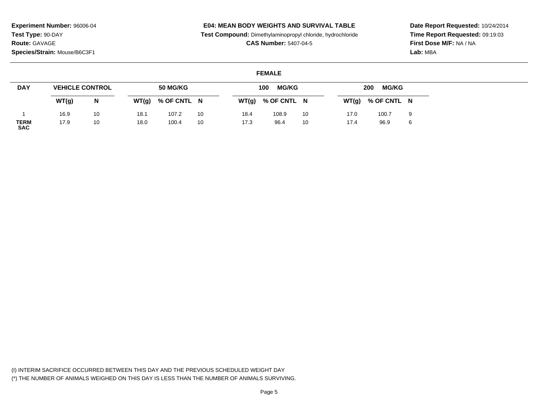# **E04: MEAN BODY WEIGHTS AND SURVIVAL TABLE**

**Test Compound:** Dimethylaminopropyl chloride, hydrochloride

**CAS Number:** 5407-04-5

**Date Report Requested:** 10/24/2014**Time Report Requested:** 09:19:03**First Dose M/F:** NA / NA**Lab:** MBA

# **FEMALE**

| <b>DAY</b>                |       | <b>VEHICLE CONTROL</b> |       | 50 MG/KG    |    |       | <b>MG/KG</b><br>100 |    |       | <b>MG/KG</b><br>200 |   |
|---------------------------|-------|------------------------|-------|-------------|----|-------|---------------------|----|-------|---------------------|---|
|                           | WT(g) | N                      | WT(g) | % OF CNTL N |    | WT(g) | % OF CNTL N         |    | WT(g) | % OF CNTL N         |   |
|                           | 16.9  | 10                     | 18.1  | 107.2       | 10 | 18.4  | 108.9               | 10 | 17.0  | 100.7               | 9 |
| <b>TERM</b><br><b>SAC</b> | 17.9  | 10                     | 18.0  | 100.4       | 10 | 17.3  | 96.4                | 10 | 17.4  | 96.9                | 6 |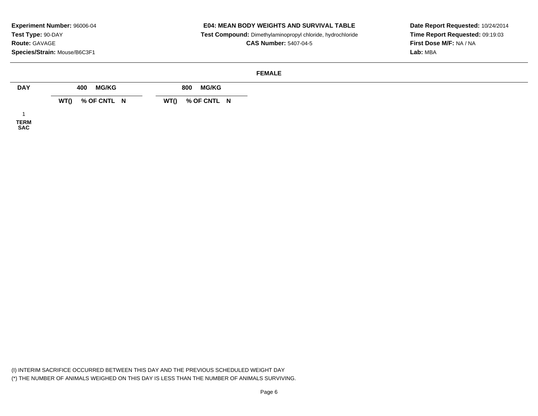# **E04: MEAN BODY WEIGHTS AND SURVIVAL TABLE**

 **Test Compound:** Dimethylaminopropyl chloride, hydrochloride**CAS Number:** 5407-04-5

**Date Report Requested:** 10/24/2014**Time Report Requested:** 09:19:03**First Dose M/F:** NA / NA**Lab:** MBA

#### **FEMALE**

| <b>DAY</b>  | <b>MG/KG</b><br>400 | <b>MG/KG</b><br>800 |
|-------------|---------------------|---------------------|
|             | % OF CNTL N<br>WT() | % OF CNTL N<br>WT() |
|             |                     |                     |
| <b>TERM</b> |                     |                     |

**SAC**

(I) INTERIM SACRIFICE OCCURRED BETWEEN THIS DAY AND THE PREVIOUS SCHEDULED WEIGHT DAY(\*) THE NUMBER OF ANIMALS WEIGHED ON THIS DAY IS LESS THAN THE NUMBER OF ANIMALS SURVIVING.